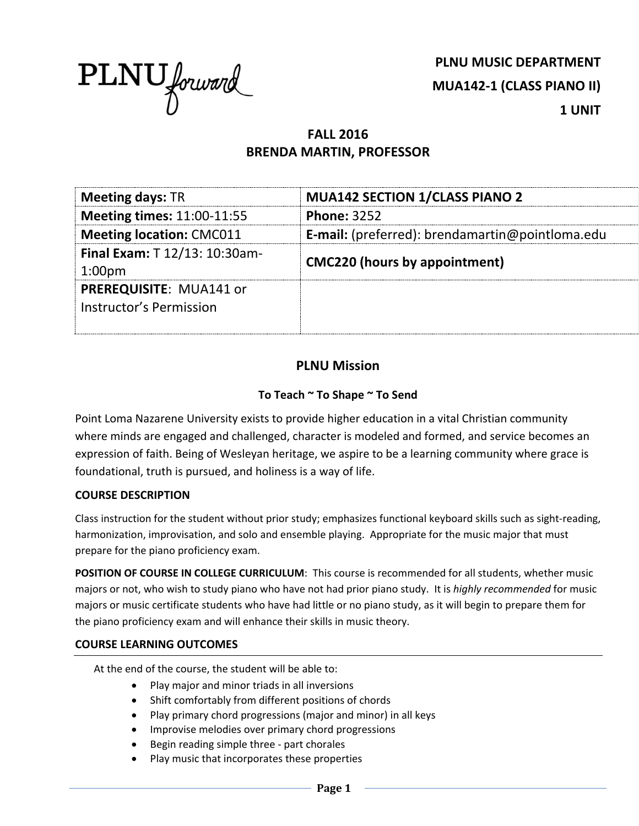

**PLNU MUSIC DEPARTMENT MUA142-1 (CLASS PIANO II) 1 UNIT**

# **FALL 2016 BRENDA MARTIN, PROFESSOR**

| <b>Meeting days: TR</b>                             | <b>MUA142 SECTION 1/CLASS PIANO 2</b>                  |  |
|-----------------------------------------------------|--------------------------------------------------------|--|
| <b>Meeting times: 11:00-11:55</b>                   | <b>Phone: 3252</b>                                     |  |
| <b>Meeting location: CMC011</b>                     | <b>E-mail:</b> (preferred): brendamartin@pointloma.edu |  |
| Final Exam: T 12/13: 10:30am-<br>1:00 <sub>pm</sub> | <b>CMC220 (hours by appointment)</b>                   |  |
| PREREQUISITE: MUA141 or<br>Instructor's Permission  |                                                        |  |

## **PLNU Mission**

## **To Teach ~ To Shape ~ To Send**

Point Loma Nazarene University exists to provide higher education in a vital Christian community where minds are engaged and challenged, character is modeled and formed, and service becomes an expression of faith. Being of Wesleyan heritage, we aspire to be a learning community where grace is foundational, truth is pursued, and holiness is a way of life.

#### **COURSE DESCRIPTION**

Class instruction for the student without prior study; emphasizes functional keyboard skills such as sight-reading, harmonization, improvisation, and solo and ensemble playing. Appropriate for the music major that must prepare for the piano proficiency exam.

**POSITION OF COURSE IN COLLEGE CURRICULUM**: This course is recommended for all students, whether music majors or not, who wish to study piano who have not had prior piano study. It is *highly recommended* for music majors or music certificate students who have had little or no piano study, as it will begin to prepare them for the piano proficiency exam and will enhance their skills in music theory.

#### **COURSE LEARNING OUTCOMES**

At the end of the course, the student will be able to:

- Play major and minor triads in all inversions
- Shift comfortably from different positions of chords
- Play primary chord progressions (major and minor) in all keys
- Improvise melodies over primary chord progressions
- Begin reading simple three part chorales
- Play music that incorporates these properties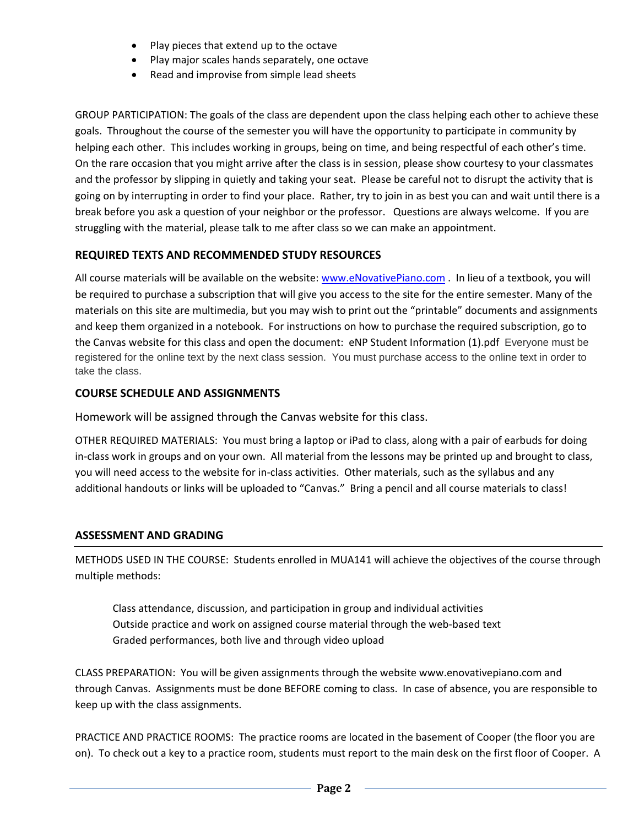- Play pieces that extend up to the octave
- Play major scales hands separately, one octave
- Read and improvise from simple lead sheets

GROUP PARTICIPATION: The goals of the class are dependent upon the class helping each other to achieve these goals. Throughout the course of the semester you will have the opportunity to participate in community by helping each other. This includes working in groups, being on time, and being respectful of each other's time. On the rare occasion that you might arrive after the class is in session, please show courtesy to your classmates and the professor by slipping in quietly and taking your seat. Please be careful not to disrupt the activity that is going on by interrupting in order to find your place. Rather, try to join in as best you can and wait until there is a break before you ask a question of your neighbor or the professor. Questions are always welcome. If you are struggling with the material, please talk to me after class so we can make an appointment.

## **REQUIRED TEXTS AND RECOMMENDED STUDY RESOURCES**

All course materials will be available on the website: [www.eNovativePiano.com](http://www.enovativepiano.com/) . In lieu of a textbook, you will be required to purchase a subscription that will give you access to the site for the entire semester. Many of the materials on this site are multimedia, but you may wish to print out the "printable" documents and assignments and keep them organized in a notebook. For instructions on how to purchase the required subscription, go to the Canvas website for this class and open the document: eNP Student Information (1).pdf Everyone must be registered for the online text by the next class session. You must purchase access to the online text in order to take the class.

## **COURSE SCHEDULE AND ASSIGNMENTS**

Homework will be assigned through the Canvas website for this class.

OTHER REQUIRED MATERIALS: You must bring a laptop or iPad to class, along with a pair of earbuds for doing in-class work in groups and on your own. All material from the lessons may be printed up and brought to class, you will need access to the website for in-class activities. Other materials, such as the syllabus and any additional handouts or links will be uploaded to "Canvas." Bring a pencil and all course materials to class!

## **ASSESSMENT AND GRADING**

METHODS USED IN THE COURSE: Students enrolled in MUA141 will achieve the objectives of the course through multiple methods:

Class attendance, discussion, and participation in group and individual activities Outside practice and work on assigned course material through the web-based text Graded performances, both live and through video upload

CLASS PREPARATION: You will be given assignments through the website www.enovativepiano.com and through Canvas. Assignments must be done BEFORE coming to class. In case of absence, you are responsible to keep up with the class assignments.

PRACTICE AND PRACTICE ROOMS: The practice rooms are located in the basement of Cooper (the floor you are on). To check out a key to a practice room, students must report to the main desk on the first floor of Cooper. A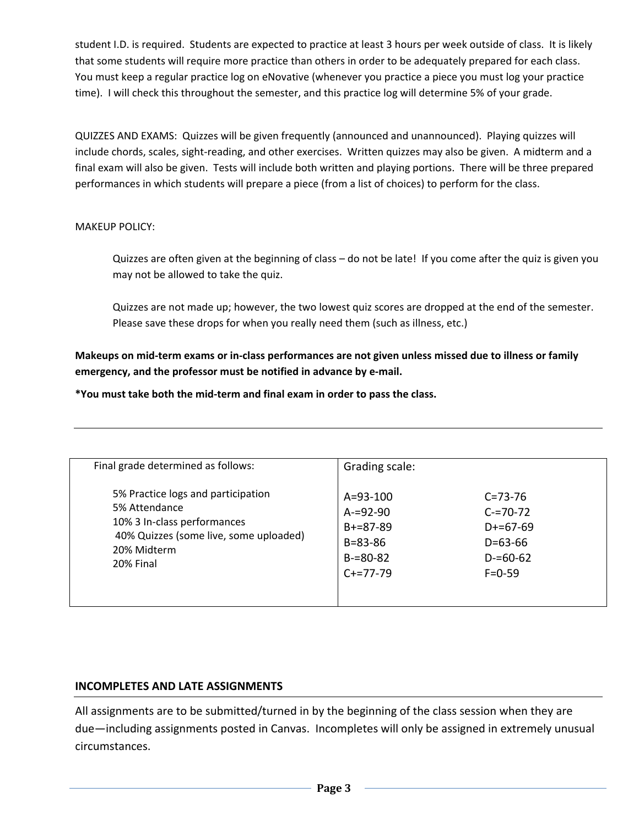student I.D. is required. Students are expected to practice at least 3 hours per week outside of class. It is likely that some students will require more practice than others in order to be adequately prepared for each class. You must keep a regular practice log on eNovative (whenever you practice a piece you must log your practice time). I will check this throughout the semester, and this practice log will determine 5% of your grade.

QUIZZES AND EXAMS: Quizzes will be given frequently (announced and unannounced). Playing quizzes will include chords, scales, sight-reading, and other exercises. Written quizzes may also be given. A midterm and a final exam will also be given. Tests will include both written and playing portions. There will be three prepared performances in which students will prepare a piece (from a list of choices) to perform for the class.

#### MAKEUP POLICY:

Quizzes are often given at the beginning of class – do not be late! If you come after the quiz is given you may not be allowed to take the quiz.

Quizzes are not made up; however, the two lowest quiz scores are dropped at the end of the semester. Please save these drops for when you really need them (such as illness, etc.)

**Makeups on mid-term exams or in-class performances are not given unless missed due to illness or family emergency, and the professor must be notified in advance by e-mail.** 

**\*You must take both the mid-term and final exam in order to pass the class.**

| Final grade determined as follows:                                                                                                                       | Grading scale:                                                                                     |                                                                                              |
|----------------------------------------------------------------------------------------------------------------------------------------------------------|----------------------------------------------------------------------------------------------------|----------------------------------------------------------------------------------------------|
| 5% Practice logs and participation<br>5% Attendance<br>10% 3 In-class performances<br>40% Quizzes (some live, some uploaded)<br>20% Midterm<br>20% Final | $A = 93 - 100$<br>$A = 92 - 90$<br>$B + = 87 - 89$<br>$B = 83 - 86$<br>$B = 80 - 82$<br>$C+=77-79$ | $C = 73 - 76$<br>$C = 70-72$<br>$D+=67-69$<br>$D = 63 - 66$<br>$D = 60 - 62$<br>$F = 0 - 59$ |
|                                                                                                                                                          |                                                                                                    |                                                                                              |

## **INCOMPLETES AND LATE ASSIGNMENTS**

All assignments are to be submitted/turned in by the beginning of the class session when they are due—including assignments posted in Canvas. Incompletes will only be assigned in extremely unusual circumstances.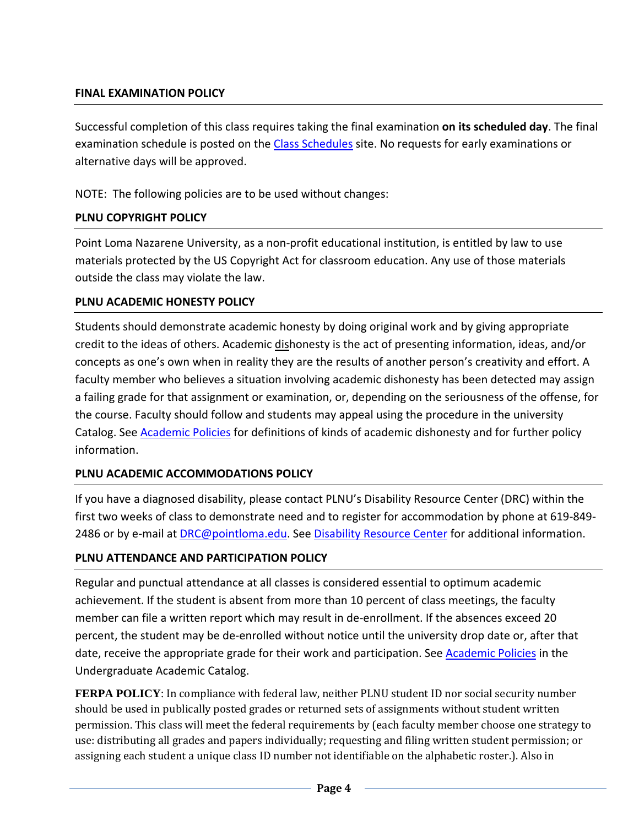## **FINAL EXAMINATION POLICY**

Successful completion of this class requires taking the final examination **on its scheduled day**. The final examination schedule is posted on the [Class Schedules](http://www.pointloma.edu/experience/academics/class-schedules) site. No requests for early examinations or alternative days will be approved.

NOTE: The following policies are to be used without changes:

## **PLNU COPYRIGHT POLICY**

Point Loma Nazarene University, as a non-profit educational institution, is entitled by law to use materials protected by the US Copyright Act for classroom education. Any use of those materials outside the class may violate the law.

## **PLNU ACADEMIC HONESTY POLICY**

Students should demonstrate academic honesty by doing original work and by giving appropriate credit to the ideas of others. Academic dishonesty is the act of presenting information, ideas, and/or concepts as one's own when in reality they are the results of another person's creativity and effort. A faculty member who believes a situation involving academic dishonesty has been detected may assign a failing grade for that assignment or examination, or, depending on the seriousness of the offense, for the course. Faculty should follow and students may appeal using the procedure in the university Catalog. See [Academic Policies](http://catalog.pointloma.edu/content.php?catoid=18&navoid=1278) for definitions of kinds of academic dishonesty and for further policy information.

## **PLNU ACADEMIC ACCOMMODATIONS POLICY**

If you have a diagnosed disability, please contact PLNU's Disability Resource Center (DRC) within the first two weeks of class to demonstrate need and to register for accommodation by phone at 619-849- 2486 or by e-mail at [DRC@pointloma.edu.](mailto:DRC@pointloma.edu) See [Disability Resource Center](http://www.pointloma.edu/experience/offices/administrative-offices/academic-advising-office/disability-resource-center) for additional information.

## **PLNU ATTENDANCE AND PARTICIPATION POLICY**

Regular and punctual attendance at all classes is considered essential to optimum academic achievement. If the student is absent from more than 10 percent of class meetings, the faculty member can file a written report which may result in de-enrollment. If the absences exceed 20 percent, the student may be de-enrolled without notice until the university drop date or, after that date, receive the appropriate grade for their work and participation. See [Academic Policies](http://catalog.pointloma.edu/content.php?catoid=18&navoid=1278) in the Undergraduate Academic Catalog.

**FERPA POLICY**: In compliance with federal law, neither PLNU student ID nor social security number should be used in publically posted grades or returned sets of assignments without student written permission. This class will meet the federal requirements by (each faculty member choose one strategy to use: distributing all grades and papers individually; requesting and filing written student permission; or assigning each student a unique class ID number not identifiable on the alphabetic roster.). Also in